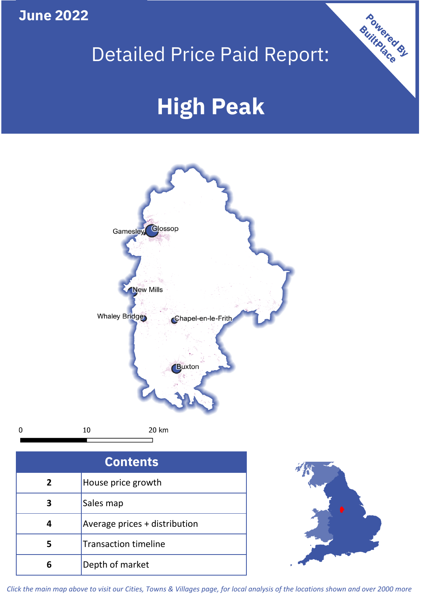**June 2022**

# Detailed Price Paid Report:

# **High Peak**



| <b>Contents</b> |                               |  |  |
|-----------------|-------------------------------|--|--|
| 2               | House price growth            |  |  |
| 3               | Sales map                     |  |  |
|                 | Average prices + distribution |  |  |
| 5               | <b>Transaction timeline</b>   |  |  |
|                 | Depth of market               |  |  |



**Powered By** 

*Click the main map above to visit our Cities, Towns & Villages page, for local analysis of the locations shown and over 2000 more*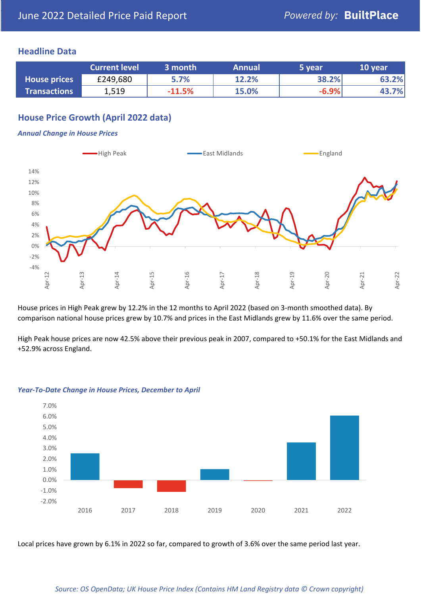#### **Headline Data**

|                     | <b>Current level</b> | 3 month  | <b>Annual</b> | 5 year  | 10 year |
|---------------------|----------------------|----------|---------------|---------|---------|
| <b>House prices</b> | £249,680             | 5.7%     | 12.2%         | 38.2%   | 63.2%   |
| <b>Transactions</b> | 1,519                | $-11.5%$ | 15.0%         | $-6.9%$ | 43.7%   |

# **House Price Growth (April 2022 data)**

#### *Annual Change in House Prices*



House prices in High Peak grew by 12.2% in the 12 months to April 2022 (based on 3-month smoothed data). By comparison national house prices grew by 10.7% and prices in the East Midlands grew by 11.6% over the same period.

High Peak house prices are now 42.5% above their previous peak in 2007, compared to +50.1% for the East Midlands and +52.9% across England.



#### *Year-To-Date Change in House Prices, December to April*

Local prices have grown by 6.1% in 2022 so far, compared to growth of 3.6% over the same period last year.

#### *Source: OS OpenData; UK House Price Index (Contains HM Land Registry data © Crown copyright)*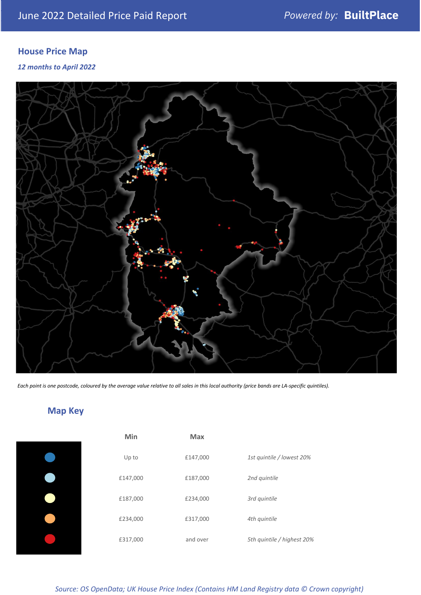# **House Price Map**

*12 months to April 2022*



*Each point is one postcode, coloured by the average value relative to all sales in this local authority (price bands are LA-specific quintiles).*

# **Map Key**

| Min      | Max      |                            |
|----------|----------|----------------------------|
| Up to    | £147,000 | 1st quintile / lowest 20%  |
| £147,000 | £187,000 | 2nd quintile               |
| £187,000 | £234,000 | 3rd quintile               |
| £234,000 | £317,000 | 4th quintile               |
| £317,000 | and over | 5th quintile / highest 20% |

*Source: OS OpenData; UK House Price Index (Contains HM Land Registry data © Crown copyright)*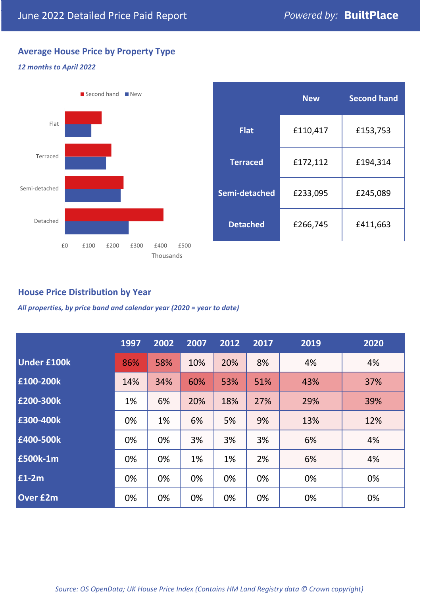# **Average House Price by Property Type**

#### *12 months to April 2022*



|                 | <b>New</b> | <b>Second hand</b> |  |  |
|-----------------|------------|--------------------|--|--|
| <b>Flat</b>     | £110,417   | £153,753           |  |  |
| <b>Terraced</b> | £172,112   | £194,314           |  |  |
| Semi-detached   | £233,095   | £245,089           |  |  |
| <b>Detached</b> | £266,745   | £411,663           |  |  |

### **House Price Distribution by Year**

*All properties, by price band and calendar year (2020 = year to date)*

|                    | 1997 | 2002 | 2007 | 2012 | 2017 | 2019 | 2020 |
|--------------------|------|------|------|------|------|------|------|
| <b>Under £100k</b> | 86%  | 58%  | 10%  | 20%  | 8%   | 4%   | 4%   |
| £100-200k          | 14%  | 34%  | 60%  | 53%  | 51%  | 43%  | 37%  |
| E200-300k          | 1%   | 6%   | 20%  | 18%  | 27%  | 29%  | 39%  |
| £300-400k          | 0%   | 1%   | 6%   | 5%   | 9%   | 13%  | 12%  |
| £400-500k          | 0%   | 0%   | 3%   | 3%   | 3%   | 6%   | 4%   |
| <b>£500k-1m</b>    | 0%   | 0%   | 1%   | 1%   | 2%   | 6%   | 4%   |
| £1-2m              | 0%   | 0%   | 0%   | 0%   | 0%   | 0%   | 0%   |
| <b>Over £2m</b>    | 0%   | 0%   | 0%   | 0%   | 0%   | 0%   | 0%   |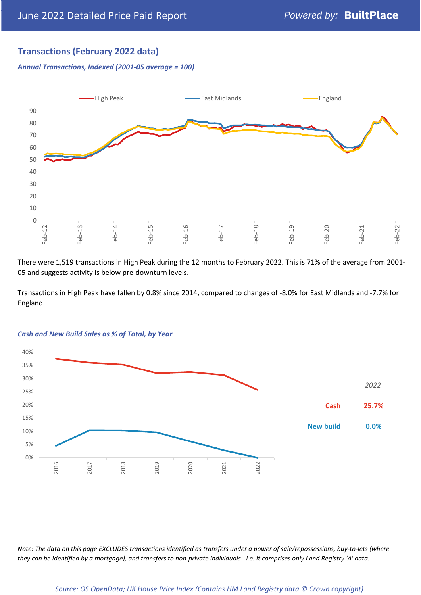## **Transactions (February 2022 data)**

*Annual Transactions, Indexed (2001-05 average = 100)*



There were 1,519 transactions in High Peak during the 12 months to February 2022. This is 71% of the average from 2001- 05 and suggests activity is below pre-downturn levels.

Transactions in High Peak have fallen by 0.8% since 2014, compared to changes of -8.0% for East Midlands and -7.7% for England.



#### *Cash and New Build Sales as % of Total, by Year*

*Note: The data on this page EXCLUDES transactions identified as transfers under a power of sale/repossessions, buy-to-lets (where they can be identified by a mortgage), and transfers to non-private individuals - i.e. it comprises only Land Registry 'A' data.*